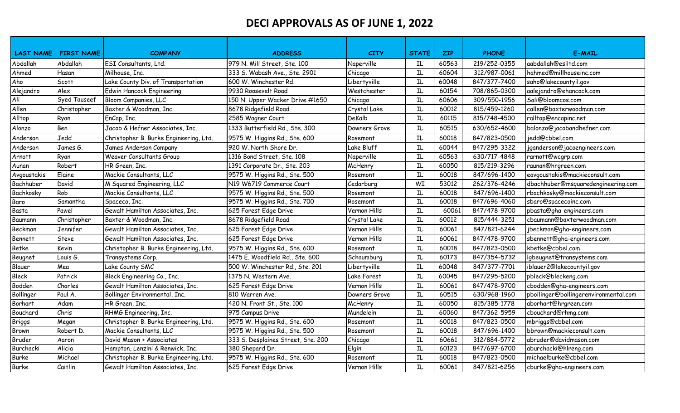| <b>LAST NAME</b> | <b>FIRST NAME</b> | <b>COMPANY</b>                         | <b>ADDRESS</b>                     | <b>CITY</b>   | <b>STATE</b>            | <b>ZIP</b> | <b>PHONE</b> | <b>E-MAIL</b>                         |
|------------------|-------------------|----------------------------------------|------------------------------------|---------------|-------------------------|------------|--------------|---------------------------------------|
| Abdallah         | Abdallah          | ESI Consultants, Ltd.                  | 979 N. Mill Street, Ste. 100       | Naperville    | IL                      | 60563      | 219/252-0355 | aabdallah@esiltd.com                  |
| Ahmed            | Hasan             | Milhouse, Inc.                         | 333 S. Wabash Ave., Ste. 2901      | Chicago       | IL                      | 60604      | 312/987-0061 | hahmed@millhouseinc.com               |
| Aho              | Scott             | Lake County Div. of Transportation     | 600 W. Winchester Rd.              | Libertyville  | IL                      | 60048      | 847/377-7400 | saho@lakecountyil.gov                 |
| Alejandro        | Alex              | <b>Edwin Hancock Engineering</b>       | 9930 Roosevelt Road                | Westchester   | TL                      | 60154      | 708/865-0300 | aalejandro@ehancock.com               |
| Ali              | Syed Tauseef      | Bloom Companies, LLC                   | 150 N. Upper Wacker Drive #1650    | Chicago       | IL                      | 60606      | 309/550-1956 | Sali@bloomcos.com                     |
| Allen            | Christopher       | Baxter & Woodman, Inc.                 | 8678 Ridgefield Road               | Crystal Lake  | IL                      | 60012      | 815/459-1260 | callen@baxterwoodman.com              |
| Alltop           | Ryan              | EnCap, Inc.                            | 2585 Wagner Court                  | <b>DeKalb</b> | IL.                     | 60115      | 815/748-4500 | ralltop@encapinc.net                  |
| Alonzo           | Ben               | Jacob & Hefner Associates, Inc.        | 1333 Butterfield Rd., Ste. 300     | Downers Grove | IL                      | 60515      | 630/652-4600 | balonzo@jacobandhefner.com            |
| Anderson         | Jedd              | Christopher B. Burke Engineering, Ltd. | 9575 W. Higgins Rd., Ste. 600      | Rosemont      | IL.                     | 60018      | 847/823-0500 | jedd@cbbel.com                        |
| Anderson         | James G.          | James Anderson Company                 | 920 W. North Shore Dr.             | Lake Bluff    | IL                      | 60044      | 847/295-3322 | jganderson@jacoengineers.com          |
| Arnott           | Ryan              | Weaver Consultants Group               | 1316 Bond Street, Ste. 108         | Naperville    | $\overline{\mathbf{L}}$ | 60563      | 630/717-4848 | rarnott@wcgrp.com                     |
| Aunan            | Robert            | HR Green, Inc.                         | 1391 Corporate Dr., Ste. 203       | McHenry       | IL.                     | 60050      | 815/219-3296 | raunan@hrgreen.com                    |
| Avgoustakis      | Elaine            | Mackie Consultants, LLC                | 9575 W. Higgins Rd., Ste. 500      | Rosemont      | $\overline{\mathbf{L}}$ | 60018      | 847/696-1400 | eavgoustakis@mackieconsult.com        |
| Bachhuber        | David             | M Squared Engineering, LLC             | N19 W6719 Commerce Court           | Cedarburg     | WI                      | 53012      | 262/376-4246 | dbachhuber@msquaredengineering.com    |
| Bachkosky        | Rob               | Mackie Consultants, LLC                | 9575 W. Higgins Rd., Ste. 500      | Rosemont      | $\overline{\mathbf{L}}$ | 60018      | 847/696-1400 | rbachkosky@mackieconsult.com          |
| Baro             | Samantha          | Spaceco, Inc.                          | 9575 W. Higgins Rd., Ste. 700      | Rosemont      | TL                      | 60018      | 847/696-4060 | sbaro@spacecoinc.com                  |
| Basta            | Pawel             | Gewalt Hamilton Associates, Inc.       | 625 Forest Edge Drive              | Vernon Hills  | TL                      | 60061      | 847/478-9700 | pbasta@gha-engineers.com              |
| Baumann          | Christopher       | Baxter & Woodman, Inc.                 | 8678 Ridgefield Road               | Crystal Lake  | IL.                     | 60012      | 815/444-3251 | cbaumann@baxterwoodman.com            |
| Beckman          | Jennifer          | Gewalt Hamilton Associates, Inc.       | 625 Forest Edge Drive              | Vernon Hills  | IL                      | 60061      | 847/821-6244 | jbeckman@gha-engineers.com            |
| <b>Bennett</b>   | Steve             | Gewalt Hamilton Associates, Inc.       | 625 Forest Edge Drive              | Vernon Hills  | $\overline{\mathbb{L}}$ | 60061      | 847/478-9700 | sbennett@gha-engineers.com            |
| <b>Betke</b>     | Kevin             | Christopher B. Burke Engineering, Ltd. | 9575 W. Higgins Rd., Ste. 600      | Rosemont      | IL.                     | 60018      | 847/823-0500 | kbetke@cbbel.com                      |
| Beugnet          | Louis G.          | Transystems Corp.                      | 1475 E. Woodfield Rd., Ste. 600    | Schaumburg    | IL                      | 60173      | 847/354-5732 | lgbeugnet@transystems.com             |
| Blauer           | Mea               | Lake County SMC                        | 500 W. Winchester Rd., Ste. 201    | Libertyville  | IL                      | 60048      | 847/377-7701 | iblauer2@lakecountyil.gov             |
| Bleck            | Patrick           | Bleck Engineering Co., Inc.            | 1375 N. Western Ave.               | Lake Forest   | IL                      | 60045      | 847/295-5200 | pbleck@bleckeng.com                   |
| Bodden           | Charles           | Gewalt Hamilton Associates, Inc.       | 625 Forest Edge Drive              | Vernon Hills  | IL                      | 60061      | 847/478-9700 | cbodden@gha-engineers.com             |
| Bollinger        | Paul A.           | Bollinger Environmental, Inc.          | 810 Warren Ave.                    | Downers Grove | IL.                     | 60515      | 630/968-1960 | pbollinger@bollingerenvironmental.com |
| Borhart          | Adam              | HR Green, Inc.                         | 420 N. Front St., Ste. 100         | McHenry       | IL.                     | 60050      | 815/385-1778 | aborhart@hrgreen.com                  |
| Bouchard         | Chris             | RHMG Engineering, Inc.                 | 975 Campus Drive                   | Mundelein     | IL.                     | 60060      | 847/362-5959 | cbouchard@rhmg.com                    |
| <b>Briggs</b>    | Megan             | Christopher B. Burke Engineering, Ltd. | 9575 W. Higgins Rd., Ste. 600      | Rosemont      | IL.                     | 60018      | 847/823-0500 | mbriggs@cbbel.com                     |
| Brown            | Robert D.         | Mackie Consultants, LLC                | 9575 W. Higgins Rd., Ste. 500      | Rosemont      | IL                      | 60018      | 847/696-1400 | bbrown@mackieconsult.com              |
| Bruder           | Aaron             | David Mason + Associates               | 333 S. Desplaines Street, Ste. 200 | Chicago       | IL.                     | 60661      | 312/884-5772 | abruder@davidmason.com                |
| Burchacki        | Alicia            | Hampton, Lenzini & Renwick, Inc.       | 380 Shepard Dr.                    | Elgin         | IL.                     | 60123      | 847/697-6700 | aburchacki@hlreng.com                 |
| <b>Burke</b>     | Michael           | Christopher B. Burke Engineering, Ltd. | 9575 W. Higgins Rd., Ste. 600      | Rosemont      | IL.                     | 60018      | 847/823-0500 | michaelburke@cbbel.com                |
| <b>Burke</b>     | Caitlin           | Gewalt Hamilton Associates, Inc.       | 625 Forest Edge Drive              | Vernon Hills  | IL                      | 60061      | 847/821-6256 | cburke@gha-engineers.com              |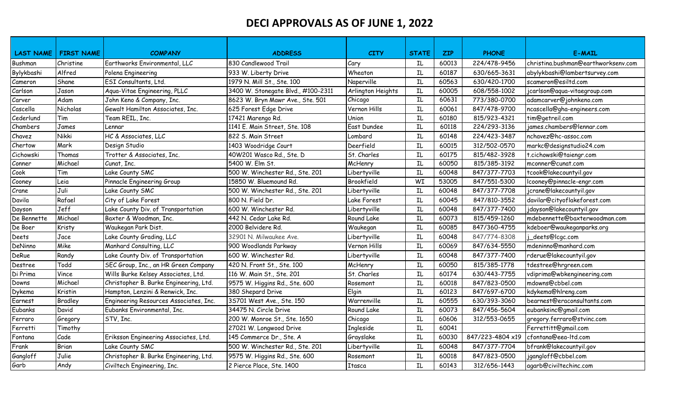| <b>LAST NAME</b> | <b>FIRST NAME</b> | <b>COMPANY</b>                         | <b>ADDRESS</b>                     | <b>CITY</b>       | <b>STATE</b>           | <b>ZIP</b> | <b>PHONE</b>     | <b>E-MAIL</b>                       |
|------------------|-------------------|----------------------------------------|------------------------------------|-------------------|------------------------|------------|------------------|-------------------------------------|
| Bushman          | Christine         | Earthworks Environmental, LLC          | 830 Candlewood Trail               | Cary              | IL                     | 60013      | 224/478-9456     | christina.bushman@earthworksenv.com |
| Bylykbashi       | Alfred            | Polena Engineering                     | 933 W. Liberty Drive               | Wheaton           | <b>IL</b>              | 60187      | 630/665-3631     | abylykbashi@lambertsurvey.com       |
| Cameron          | Shane             | ESI Consultants, Ltd.                  | 1979 N. Mill St., Ste. 100         | Naperville        | IL                     | 60563      | 630/420-1700     | scameron@esiltd.com                 |
| Carlson          | Jason             | Aqua-Vitae Engineering, PLLC           | 3400 W. Stonegate Blvd., #100-2311 | Arlington Heights | IL                     | 60005      | 608/558-1002     | jcarlson@aqua-vitaegroup.com        |
| Carver           | Adam              | John Keno & Company, Inc.              | 8623 W. Bryn Mawr Ave., Ste. 501   | Chicago           | IL                     | 60631      | 773/380-0700     | adamcarver@johnkeno.com             |
| Cascella         | Nicholas          | Gewalt Hamilton Associates, Inc.       | 625 Forest Edge Drive              | Vernon Hills      | <b>IL</b>              | 60061      | 847/478-9700     | ncascella@gha-engineers.com         |
| Cederlund        | Tim               | Team REIL, Inc.                        | 17421 Marengo Rd.                  | Union             | IL                     | 60180      | 815/923-4321     | tim@getreil.com                     |
| Chambers         | James             | Lennar                                 | 1141 E. Main Street, Ste. 108      | East Dundee       | IL.                    | 60118      | 224/293-3136     | james.chambers@lennar.com           |
| Chavez           | Nikki             | HC & Associates, LLC                   | 822 S. Main Street                 | Lombard           | IL                     | 60148      | 224/423-3487     | nchavez@hc-assoc.com                |
| Chertow          | Mark              | Design Studio                          | 1403 Woodridge Court               | Deerfield         | IL.                    | 60015      | 312/502-0570     | markc@designstudio24.com            |
| Cichowski        | Thomas            | Trotter & Associates, Inc.             | 40W201 Wasco Rd., Ste. D           | St. Charles       | IL.                    | 60175      | 815/482-3928     | t.cichowski@taiengr.com             |
| Conner           | Michael           | Cunat, Inc.                            | 5400 W. Elm St.                    | McHenry           | IL                     | 60050      | 815/385-3192     | mconner@cunat.com                   |
| Cook             | Tim               | Lake County SMC                        | 500 W. Winchester Rd., Ste. 201    | Libertyville      | IL                     | 60048      | 847/377-7703     | tcook@lakecountyil.gov              |
| Cooney           | Leia              | Pinnacle Engineering Group             | 15850 W. Bluemound Rd.             | Brookfield        | WI                     | 53005      | 847/551-5300     | Icooney@pinnacle-engr.com           |
| $\sqrt{C}$ rane  | Juli              | Lake County SMC                        | 500 W. Winchester Rd., Ste. 201    | Libertyville      | IL                     | 60048      | 847/377-7708     | jcrane@lakecountyil.gov             |
| Davila           | Rafael            | City of Lake Forest                    | 800 N. Field Dr.                   | Lake Forest       | IL                     | 60045      | 847/810-3552     | davilar@cityoflakeforest.com        |
| Dayson           | Jeff              | Lake County Div. of Transportation     | 600 W. Winchester Rd.              | Libertyville      | IL                     | 60048      | 847/377-7400     | jdayson@lakecountyil.gov            |
| De Bennette      | Michael           | Baxter & Woodman, Inc.                 | 442 N. Cedar Lake Rd.              | Round Lake        | IL                     | 60073      | 815/459-1260     | mdebennette@baxterwoodman.com       |
| De Boer          | Kristy            | Waukegan Park Dist.                    | 2000 Belvidere Rd.                 | Waukegan          | IL                     | 60085      | 847/360-4755     | kdeboer@waukeganparks.org           |
| Deets            | Jace              | Lake County Grading, LLC               | 32901 N. Milwaukee Ave.            | Libertyville      | IL.                    | 60048      | 847/774-8308     | j_deets@lcgc.com                    |
| DeNinno          | Mike              | Manhard Consulting, LLC                | 900 Woodlands Parkway              | Vernon Hills      | IL                     | 60069      | 847/634-5550     | mdeninno@manhard.com                |
| DeRue            | Randy             | Lake County Div. of Transportation     | 600 W. Winchester Rd.              | Libertyville      | <b>IL</b>              | 60048      | 847/377-7400     | rderue@lakecountyil.gov             |
| Destree          | Todd              | SEC Group, Inc., an HR Green Company   | 420 N. Front St., Ste. 100         | McHenry           | <b>IL</b>              | 60050      | 815/385-1778     | tdestree@hrgreen.com                |
| Di Prima         | Vince             | Wills Burke Kelsey Associates, Ltd.    | 116 W. Main St., Ste. 201          | St. Charles       | <b>IL</b>              | 60174      | 630/443-7755     | vdiprima@wbkengineering.com         |
| Downs            | Michael           | Christopher B. Burke Engineering, Ltd. | 9575 W. Higgins Rd., Ste. 600      | Rosemont          | IL                     | 60018      | 847/823-0500     | mdowns@cbbel.com                    |
| Dykema           | Kristin           | Hampton, Lenzini & Renwick, Inc.       | 380 Shepard Drive                  | Elgin             | <b>IL</b>              | 60123      | 847/697-6700     | kdykema@hlreng.com                  |
| Earnest          | Bradley           | Engineering Resources Associates, Inc. | 35701 West Ave., Ste. 150          | Warrenville       | $\overline{\text{IL}}$ | 60555      | 630/393-3060     | bearnest@eraconsultants.com         |
| Eubanks          | David             | Eubanks Environmental, Inc.            | 34475 N. Circle Drive              | Round Lake        | $\overline{\text{IL}}$ | 60073      | 847/456-5604     | eubanksinc@gmail.com                |
| Ferraro          | Gregory           | STV, Inc.                              | 200 W. Monroe St., Ste. 1650       | Chicago           | IL.                    | 60606      | 312/553-0655     | gregory.ferraro@stvinc.com          |
| Ferretti         | Timothy           |                                        | 27021 W. Longwood Drive            | Ingleside         | IL.                    | 60041      |                  | Ferrettitt@gmail.com                |
| Fontana          | Cade              | Eriksson Engineering Associates, Ltd.  | 145 Commerce Dr., Ste. A           | Grayslake         | IL.                    | 60030      | 847/223-4804 x19 | cfontana@eea-Itd.com                |
| Frank            | Brian             | Lake County SMC                        | 500 W. Winchester Rd., Ste. 201    | Libertyville      | <b>IL</b>              | 60048      | 847/377-7704     | bfrank@lakecountyil.gov             |
| Gangloff         | Julie             | Christopher B. Burke Engineering, Ltd. | 9575 W. Higgins Rd., Ste. 600      | Rosemont          | IL.                    | 60018      | 847/823-0500     | jgangloff@cbbel.com                 |
| Garb             | Andy              | Civiltech Engineering, Inc.            | 2 Pierce Place, Ste. 1400          | <b>Itasca</b>     | IL                     | 60143      | 312/656-1443     | agarb@civiltechinc.com              |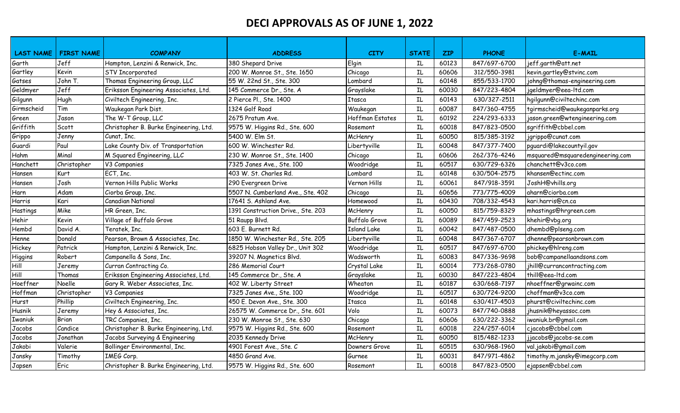| <b>LAST NAME</b> | <b>FIRST NAME</b> | <b>COMPANY</b>                         | <b>ADDRESS</b>                     | <b>CITY</b>          | <b>STATE</b>            | <b>ZIP</b> | <b>PHONE</b> | <b>E-MAIL</b>                    |
|------------------|-------------------|----------------------------------------|------------------------------------|----------------------|-------------------------|------------|--------------|----------------------------------|
| Garth            | Jeff              | Hampton, Lenzini & Renwick, Inc.       | 380 Shepard Drive                  | Elgin                | <b>IL</b>               | 60123      | 847/697-6700 | jeff.garth@att.net               |
| Gartley          | Kevin             | STV Incorporated                       | 200 W. Monroe St., Ste. 1650       | Chicago              | IL                      | 60606      | 312/550-3981 | kevin.gartley@stvinc.com         |
| Gatses           | John T.           | Thomas Engineering Group, LLC          | 55 W. 22nd St., Ste. 300           | Lombard              | <b>IL</b>               | 60148      | 855/533-1700 | johng@thomas-engineering.com     |
| Geldmyer         | Jeff              | Eriksson Engineering Associates, Ltd.  | 145 Commerce Dr., Ste. A           | Grayslake            | IL                      | 60030      | 847/223-4804 | jgeldmyer@eea-ltd.com            |
| Gilgunn          | Hugh              | Civiltech Engineering, Inc.            | 2 Pierce Pl., Ste. 1400            | <b>Itasca</b>        | IL.                     | 60143      | 630/327-2511 | hgilgunn@civiltechinc.com        |
| Girmscheid       | Tim               | Waukegan Park Dist.                    | 1324 Golf Road                     | Waukegan             | IL                      | 60087      | 847/360-4755 | tgirmscheid@waukeganparks.org    |
| Green            | Jason             | The W-T Group, LLC                     | 2675 Pratum Ave.                   | Hoffman Estates      | <b>IL</b>               | 60192      | 224/293-6333 | jason.green@wtengineering.com    |
| Griffith         | Scott             | Christopher B. Burke Engineering, Ltd. | 9575 W. Higgins Rd., Ste. 600      | Rosemont             | IL.                     | 60018      | 847/823-0500 | sgriffith@cbbel.com              |
| Grippo           | Jenny             | Cunat, Inc.                            | 5400 W. Elm St.                    | McHenry              | IL                      | 60050      | 815/385-3192 | jgrippo@cunat.com                |
| Guardi           | Paul              | Lake County Div. of Transportation     | 600 W. Winchester Rd.              | Libertyville         | IL                      | 60048      | 847/377-7400 | pquardi@lakecountyil.gov         |
| Hahm             | Minal             | M Squared Engineering, LLC             | 230 W. Monroe St., Ste. 1400       | Chicago              | IL                      | 60606      | 262/376-4246 | msquared@msquaredengineering.com |
| Hanchett         | Christopher       | V3 Companies                           | 7325 Janes Ave., Ste. 100          | Woodridge            | IL.                     | 60517      | 630/729-6326 | chanchett@v3co.com               |
| Hansen           | Kurt              | ECT, Inc.                              | 403 W. St. Charles Rd.             | Lombard              | $\overline{\text{IL}}$  | 60148      | 630/504-2575 | khansen@ectinc.com               |
| Hansen           | Josh              | Vernon Hills Public Works              | 290 Evergreen Drive                | Vernon Hills         | IL                      | 60061      | 847/918-3591 | JoshH@vhills.org                 |
| Harn             | Adam              | Ciorba Group, Inc.                     | 5507 N. Cumberland Ave., Ste. 402  | Chicago              | IL                      | 60656      | 773/775-4009 | aharn@ciorba.com                 |
| <b>Harris</b>    | Kari              | <b>Canadian National</b>               | 17641 S. Ashland Ave.              | Homewood             | $\overline{\mathbf{L}}$ | 60430      | 708/332-4543 | kari.harris@cn.ca                |
| Hastings         | Mike              | HR Green, Inc.                         | 1391 Construction Drive., Ste. 203 | McHenry              | IL                      | 60050      | 815/759-8329 | mhastings@hrgreen.com            |
| Hehir            | Kevin             | Village of Buffalo Grove               | 51 Raupp Blvd.                     | <b>Buffalo Grove</b> | IL                      | 60089      | 847/459-2523 | khehir@vbg.org                   |
| Hembd            | David A.          | Teratek, Inc.                          | 603 E. Burnett Rd.                 | <b>Island Lake</b>   | IL                      | 60042      | 847/487-0500 | dhembd@plseng.com                |
| Henne            | Donald            | Pearson, Brown & Associates, Inc.      | 1850 W. Winchester Rd., Ste. 205   | Libertyville         | IL                      | 60048      | 847/367-6707 | dhenne@pearsonbrown.com          |
| Hickey           | Patrick           | Hampton, Lenzini & Renwick, Inc.       | 6825 Hobson Valley Dr., Unit 302   | Woodridge            | $\overline{\text{IL}}$  | 60517      | 847/697-6700 | phickey@hlreng.com               |
| Higgins          | Robert            | Campanella & Sons, Inc.                | 39207 N. Magnetics Blvd.           | Wadsworth            | IL                      | 60083      | 847/336-9698 | bob@campanellaandsons.com        |
| Hill             | Jeremy            | Curran Contracting Co.                 | 286 Memorial Court                 | Crystal Lake         | IL.                     | 60014      | 773/268-0780 | jhill@currancontracting.com      |
| Hill             | Thomas            | Eriksson Engineering Associates, Ltd.  | 145 Commerce Dr., Ste. A           | Grayslake            | IL                      | 60030      | 847/223-4804 | thill@eea-ltd.com                |
| Hoeffner         | Noelle            | Gary R. Weber Associates, Inc.         | 402 W. Liberty Street              | Wheaton              | IL                      | 60187      | 630/668-7197 | nhoeffner@grwainc.com            |
| Hoffman          | Christopher       | V3 Companies                           | 7325 Janes Ave., Ste. 100          | Woodridge            | <b>IL</b>               | 60517      | 630/724-9200 | choffman@v3co.com                |
| Hurst            | Phillip           | Civiltech Engineering, Inc.            | 450 E. Devon Ave., Ste. 300        | <b>Itasca</b>        | <b>IL</b>               | 60148      | 630/417-4503 | phurst@civiltechinc.com          |
| Husnik           | Jeremy            | Hey & Associates, Inc.                 | 26575 W. Commerce Dr., Ste. 601    | Volo                 | IL                      | 60073      | 847/740-0888 | jhusnik@heyassoc.com             |
| Iwaniuk          | Brian             | TRC Companies, Inc.                    | 230 W. Monroe St., Ste. 630        | Chicago              | IL                      | 60606      | 630/222-3362 | iwaniuk.br@gmail.com             |
| Jacobs           | Candice           | Christopher B. Burke Engineering, Ltd. | 9575 W. Higgins Rd., Ste. 600      | Rosemont             | IL                      | 60018      | 224/257-6014 | cjacobs@cbbel.com                |
| Jacobs           | Jonathan          | Jacobs Surveying & Engineering         | 2035 Kennedy Drive                 | McHenry              | <b>IL</b>               | 60050      | 815/482-1233 | jjacobs@jacobs-se.com            |
| Jakobi           | Valerie           | Bollinger Environmental, Inc.          | 4901 Forest Ave., Ste. C           | Downers Grove        | IL                      | 60515      | 630/968-1960 | val.jakobi@gmail.com             |
| Jansky           | Timothy           | IMEG Corp.                             | 4850 Grand Ave.                    | Gurnee               | IL                      | 60031      | 847/971-4862 | timothy.m.jansky@imegcorp.com    |
| Japsen           | Eric              | Christopher B. Burke Engineering, Ltd. | 9575 W. Higgins Rd., Ste. 600      | Rosemont             | IL                      | 60018      | 847/823-0500 | ejapsen@cbbel.com                |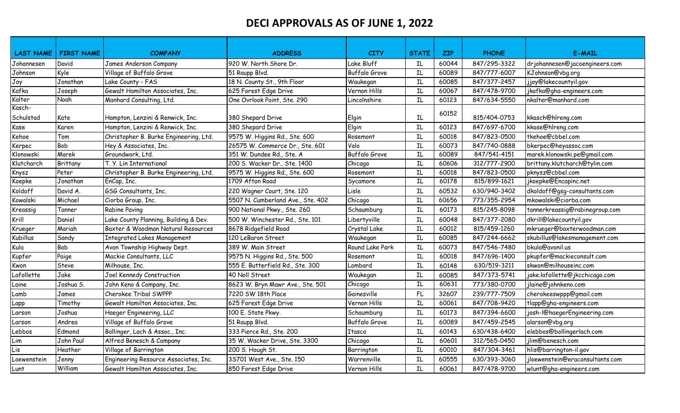| <b>LAST NAME</b> | <b>FIRST NAME</b> | <b>COMPANY</b>                         | <b>ADDRESS</b>                    | <b>CITY</b>     | <b>STATE</b>            | <b>ZIP</b> | <b>PHONE</b> | <b>E-MAIL</b>                   |
|------------------|-------------------|----------------------------------------|-----------------------------------|-----------------|-------------------------|------------|--------------|---------------------------------|
| Johannesen       | David             | James Anderson Company                 | 920 W. North Shore Dr.            | Lake Bluff      | IL                      | 60044      | 847/295-3322 | drjohannesen@jacoengineers.com  |
| Johnson          | Kyle              | Village of Buffalo Grove               | 51 Raupp Blvd.                    | Buffalo Grove   | IL.                     | 60089      | 847/777-6007 | KJohnson@vbg.org                |
| Joy              | Jonathan          | Lake County - FAS                      | 18 N. County St., 9th Floor       | Waukegan        | IL.                     | 60085      | 847/377-2457 | jjoy@lakecountyil.gov           |
| Kafka            | Joseph            | Gewalt Hamilton Associates, Inc.       | 625 Forest Edge Drive             | Vernon Hills    | $\overline{\mathbf{L}}$ | 60067      | 847/478-9700 | jkafka@gha-engineers.com        |
| Kalter           | Noah              | Manhard Consulting, Ltd.               | One Ovrlook Point, Ste. 290       | Lincolnshire    | IL.                     | 60123      | 847/634-5550 | nkalter@manhard.com             |
| Kasch-           |                   |                                        |                                   |                 |                         | 60152      |              |                                 |
| Schulstad        | Kate              | Hampton, Lenzini & Renwick, Inc.       | 380 Shepard Drive                 | Elgin           | IL                      |            | 815/404-0753 | kkasch@hlreng.com               |
| Kase             | Karen             | Hampton, Lenzini & Renwick, Inc.       | 380 Shepard Drive                 | Elgin           | IL                      | 60123      | 847/697-6700 | kkase@hlreng.com                |
| Kehoe            | Tom               | Christopher B. Burke Engineering, Ltd. | 9575 W. Higgins Rd., Ste. 600     | Rosemont        | IL.                     | 60018      | 847/823-0500 | tkehoe@cbbel.com                |
| Kerpec           | Bob               | Hey & Associates, Inc.                 | 26575 W. Commerce Dr., Ste. 601   | Volo            | IL.                     | 60073      | 847/740-0888 | bkerpec@heyassoc.com            |
| Klonowski        | Marek             | Groundwork, Ltd.                       | 351 W. Dundee Rd., Ste. A         | Buffalo Grove   | IL.                     | 60089      | 847/541-4151 | marek.klonowski.pe@gmail.com    |
| Klutcharch       | Brittany          | T. Y. Lin International                | 200 S. Wacker Dr., Ste. 1400      | Chicago         | IL.                     | 60606      | 312/777-2900 | brittany.klutcharch@tylin.com   |
| Knysz            | Peter             | Christopher B. Burke Engineering, Ltd. | 9575 W. Higgins Rd., Ste. 600     | Rosemont        | IL                      | 60018      | 847/823-0500 | pknysz@cbbel.com                |
| Koepke           | Jonathan          | EnCap, Inc.                            | 1709 Afton Road                   | Sycamore        | $\overline{\mathbf{L}}$ | 60178      | 815/899-1621 | jkoepke@Encapinc.net            |
| Koldoff          | David A.          | GSG Consultants, Inc.                  | 220 Wagner Court, Ste. 120        | Lisle           | IL                      | 60532      | 630/940-3402 | dkoldoff@gsg-consultants.com    |
| Kowalski         | Michael           | Ciorba Group, Inc.                     | 5507 N. Cumberland Ave., Ste. 402 | Chicago         | IL.                     | 60656      | 773/355-2954 | mkowalski@ciorba.com            |
| Kreassig         | Tanner            | <b>Rabine Paving</b>                   | 900 National Pkwy., Ste. 260      | Schaumburg      | IL.                     | 60173      | 815/245-8098 | tannerkreassig@rabinegroup.com  |
| Krill            | Daniel            | Lake County Planning, Building & Dev.  | 500 W. Winchester Rd., Ste. 101   | Libertyville    | IL                      | 60048      | 847/377-2080 | dkrill@lakecountyil.gov         |
| Krueger          | Mariah            | Baxter & Woodman Natural Resources     | 8678 Ridgefield Road              | Crystal Lake    | IL                      | 60012      | 815/459-1260 | mkrueger@baxterwoodman.com      |
| Kubillus         | Sandy             | <b>Integrated Lakes Management</b>     | 120 LeBaron Street                | Waukegan        | IL.                     | 60085      | 847/244-6662 | skubillus@lakesmanagement.com   |
| Kula             | Bob               | Avon Township Highway Dept.            | 389 W. Main Street                | Round Lake Park | IL.                     | 60073      | 847/546-7480 | bkula@avonil.us                 |
| Kupfer           | Paige             | Mackie Consultants, LLC                | 9575 N. Higgins Rd., Ste. 500     | Rosemont        | IL.                     | 60018      | 847/696-1400 | pkupfer@mackieconsult.com       |
| Kwon             | Steve             | Milhouse, Inc.                         | 555 E. Butterfield Rd., Ste. 300  | Lombard         | $\overline{\mathbf{L}}$ | 60148      | 630/519-3211 | skwon@milhouseinc.com           |
| Lafollette       | Jake              | Joel Kennedy Construction              | 40 Noll Street                    | Waukegan        | IL.                     | 60085      | 847/373-5741 | jake.lafollette@jkcchicago.com  |
| Laine            | Joshua S.         | John Keno & Company, Inc.              | 8623 W. Bryn Mawr Ave., Ste. 501  | Chicago         | TL                      | 60631      | 773/380-0700 | jlaine@johnkeno.com             |
| Lamb             | James             | Cherokee Tribal SWPPP                  | 7220 SW 18th Place                | Gainesville     | FL                      | 32607      | 239/777-7509 | cherokeeswppp@gmail.com         |
| Lapp             | Timothy           | Gewalt Hamilton Associates, Inc.       | 625 Forest Edge Drive             | Vernon Hills    | IL.                     | 60061      | 847/708-9420 | tlapp@gha-engineers.com         |
| Larson           | Joshua            | Haeger Engineering, LLC                | 100 E. State Pkwy.                | Schaumburg      | IL                      | 60173      | 847/394-6600 | josh-l@haegerEngineering.com    |
| Larson           | Andrea            | Village of Buffalo Grove               | 51 Raupp Blvd.                    | Buffalo Grove   | IL.                     | 60089      | 847/459-2545 | alarson@vbg.org                 |
| Lebbos           | Edmond            | Bollinger, Lach & Assoc., Inc.         | 333 Pierce Rd., Ste. 200          | <b>Itasca</b>   | IL                      | 60143      | 630/438-6400 | elebbos@bollingerlach.com       |
| Lim              | John Paul         | Alfred Benesch & Company               | 35 W. Wacker Drive, Ste. 3300     | Chicago         | IL.                     | 60601      | 312/565-0450 | jlim@benesch.com                |
| Lis              | Heather           | Village of Barrington                  | 200 S. Hough St.                  | Barrington      | IL.                     | 60010      | 847/304-3461 | hlis@barrington-il.gov          |
| Loewenstein      | Jenny             | Engineering Resource Associates, Inc.  | 35701 West Ave., Ste. 150         | Warrenville     | IL.                     | 60555      | 630/393-3060 | jloewenstein@eraconsultants.com |
| Lunt             | William           | Gewalt Hamilton Associates, Inc.       | 850 Forest Edge Drive             | Vernon Hills    | IL                      | 60061      | 847/478-9700 | wlunt@gha-engineers.com         |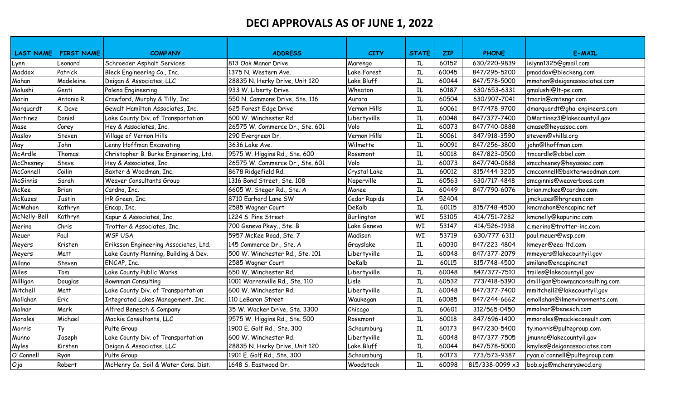| <b>LAST NAME</b> | <b>FIRST NAME</b> | <b>COMPANY</b>                         | <b>ADDRESS</b>                  | <b>CITY</b>   | <b>STATE</b> | <b>ZIP</b> | <b>PHONE</b>    | <b>E-MAIL</b>                  |
|------------------|-------------------|----------------------------------------|---------------------------------|---------------|--------------|------------|-----------------|--------------------------------|
| Lynn             | Leonard           | Schroeder Asphalt Services             | 813 Oak Manor Drive             | Marengo       | IL           | 60152      | 630/220-9839    | lelynn1325@gmail.com           |
| Maddox           | Patrick           | Bleck Engineering Co., Inc.            | 1375 N. Western Ave.            | Lake Forest   | IL.          | 60045      | 847/295-5200    | pmaddox@bleckeng.com           |
| Mahan            | Madeleine         | Deigan & Associates, LLC               | 28835 N. Herky Drive, Unit 120  | Lake Bluff    | IL           | 60044      | 847/578-5000    | mmahon@deiganassociates.com    |
| Malushi          | Genti             | Polena Engineering                     | 933 W. Liberty Drive            | Wheaton       | IL.          | 60187      | 630/653-6331    | gmalushi@It-pe.com             |
| Marin            | Antonio R.        | Crawford, Murphy & Tilly, Inc.         | 550 N. Commons Drive, Ste. 116  | Aurora        | IL.          | 60504      | 630/907-7041    | tmarin@cmtengr.com             |
| Marquardt        | K. Dave           | Gewalt Hamilton Associates, Inc.       | 625 Forest Edge Drive           | Vernon Hills  | IL           | 60061      | 847/478-9700    | dmarquardt@gha-engineers.com   |
| Martinez         | Daniel            | Lake County Div. of Transportation     | 600 W. Winchester Rd.           | Libertyville  | IL.          | 60048      | 847/377-7400    | DMartinez3@lakecountyil.gov    |
| Mase             | Corey             | Hey & Associates, Inc.                 | 26575 W. Commerce Dr., Ste. 601 | Volo          | IL           | 60073      | 847/740-0888    | cmase@heyassoc.com             |
| Maslov           | Steven            | Village of Vernon Hills                | 290 Evergreen Dr.               | Vernon Hills  | IL           | 60061      | 847/918-3590    | stevem@vhills.org              |
| May              | John              | Lenny Hoffman Excavating               | 3636 Lake Ave.                  | Wilmette      | IL.          | 60091      | 847/256-3800    | john@lhoffman.com              |
| McArdle          | Thomas            | Christopher B. Burke Engineering, Ltd. | 9575 W. Higgins Rd., Ste. 600   | Rosemont      | IL           | 60018      | 847/823-0500    | tmcardle@cbbel.com             |
| McChesney        | Steve             | Hey & Associates, Inc.                 | 26575 W. Commerce Dr., Ste. 601 | Volo          | IL.          | 60073      | 847/740-0888    | smcchesney@heyassoc.com        |
| McConnell        | Coilin            | Baxter & Woodman, Inc.                 | 8678 Ridgefield Rd.             | Crystal Lake  | IL.          | 60012      | 815/444-3205    | cmcconnell@baxterwoodman.com   |
| McGinnis         | Sarah             | Weaver Consultants Group               | 1316 Bond Street, Ste. 108      | Naperville    | IL           | 60563      | 630/717-4848    | smcginnis@weaverboos.com       |
| McKee            | Brian             | Cardno, Inc.                           | 6605 W. Steger Rd., Ste. A      | Monee         | IL.          | 60449      | 847/790-6076    | brian.mckee@cardno.com         |
| McKuzes          | Justin            | HR Green, Inc.                         | 8710 Earhard Lane SW            | Cedar Rapids  | IA           | 52404      |                 | jmckuzes@hrgreen.com           |
| McMahon          | Kathryn           | Encap, Inc.                            | 2585 Wagner Court               | <b>DeKalb</b> | TL           | 60115      | 815/748-4500    | kmcmahon@encapinc.net          |
| McNelly-Bell     | Kathryn           | Kapur & Associates, Inc.               | 1224 S. Pine Street             | Burlington    | WI           | 53105      | 414/751-7282    | kmcnelly@kapurinc.com          |
| Merino           | Chris             | Trotter & Associates, Inc.             | 700 Geneva Pkwy., Ste. B        | Lake Geneva   | WI           | 53147      | 414/526-1938    | c.merino@trotter-inc.com       |
| Meuer            | Paul              | <b>WSP USA</b>                         | 5957 McKee Road, Ste. 7         | Madison       | WI           | 53719      | 630/777-6311    | paul.meuer@wsp.com             |
| Meyers           | Kristen           | Eriksson Engineering Associates, Ltd.  | 145 Commerce Dr., Ste. A        | Grayslake     | IL.          | 60030      | 847/223-4804    | kmeyer@eea-Itd.com             |
| Meyers           | Matt              | Lake County Planning, Building & Dev.  | 500 W. Winchester Rd., Ste. 101 | Libertyville  | IL.          | 60048      | 847/377-2079    | mmeyers@lakecountyil.gov       |
| Milano           | Steven            | ENCAP, Inc.                            | 2585 Wagner Court               | <b>DeKalb</b> | IL.          | 60115      | 815/748-4500    | smilano@encapinc.net           |
| Miles            | Tom               | Lake County Public Works               | 650 W. Winchester Rd.           | Libertyville  | TL           | 60048      | 847/377-7510    | tmiles@lakecountyil.gov        |
| Milligan         | Douglas           | <b>Bownman Consulting</b>              | 1001 Warrenville Rd., Ste. 110  | Lisle         | IL           | 60532      | 773/418-5390    | dmilligan@bowmanconsulting.com |
| Mitchell         | <b>Matt</b>       | Lake County Div. of Transportation     | 600 W. Winchester Rd.           | Libertyville  | TL           | 60048      | 847/377-7400    | mmitchell2@lakecountyil.gov    |
| Mollahan         | Eric              | Integrated Lakes Management, Inc.      | 110 LeBaron Street              | Waukegan      | IL.          | 60085      | 847/244-6662    | emollahan@ilmenvironments.com  |
| Molnar           | Mark              | Alfred Benesch & Company               | 35 W. Wacker Drive, Ste. 3300   | Chicago       | IL.          | 60601      | 312/565-0450    | mmolnar@benesch.com            |
| Morales          | Michael           | Mackie Consultants, LLC                | 9575 W. Higgins Rd., Ste. 500   | Rosemont      | IL           | 60018      | 847/696-1400    | Immorales@mackieconsult.com    |
| Morris           | Тy                | Pulte Group                            | 1900 E. Golf Rd., Ste. 300      | Schaumburg    | IL.          | 60173      | 847/230-5400    | ty.morris@pultegroup.com       |
| Munno            | Joseph            | Lake County Div. of Transportation     | 600 W. Winchester Rd.           | Libertyville  | TL           | 60048      | 847/377-7505    | jmunno@lakecountyil.gov        |
| Myles            | Kirsten           | Deigan & Associates, LLC               | 28835 N. Herky Drive, Unit 120  | Lake Bluff    | IL.          | 60044      | 847/578-5000    | kmyles@deiganassociates.com    |
| O'Connell        | Ryan              | Pulte Group                            | 1901 E. Golf Rd., Ste. 300      | Schaumburg    | IL.          | 60173      | 773/573-9387    | ryan.o'connell@pultegroup.com  |
| $Oj\alpha$       | Robert            | McHenry Co. Soil & Water Cons. Dist.   | 1648 S. Eastwood Dr.            | Woodstock     | IL.          | 60098      | 815/338-0099 x3 | bob.oja@mchenryswcd.org        |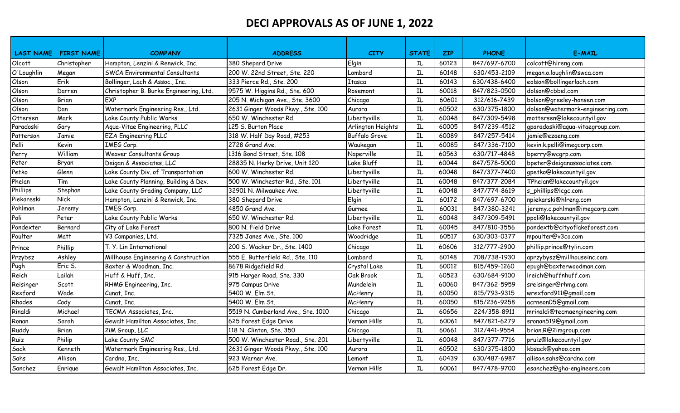| <b>LAST NAME</b> | <b>FIRST NAME</b> | <b>COMPANY</b>                         | <b>ADDRESS</b>                     | <b>CITY</b>       | <b>STATE</b>            | <b>ZIP</b> | <b>PHONE</b> | <b>E-MAIL</b>                    |
|------------------|-------------------|----------------------------------------|------------------------------------|-------------------|-------------------------|------------|--------------|----------------------------------|
| <b>Olcott</b>    | Christopher       | Hampton, Lenzini & Renwick, Inc.       | 380 Shepard Drive                  | Elgin             | IL                      | 60123      | 847/697-6700 | colcott@hlreng.com               |
| O'Loughlin       | Megan             | <b>SWCA Environmental Consultants</b>  | 200 W. 22nd Street, Ste. 220       | Lombard           | IL.                     | 60148      | 630/453-2109 | megan.o.loughlin@swca.com        |
| Olson            | Erik              | Bollinger, Lach & Assoc., Inc.         | 333 Pierce Rd., Ste. 200           | Itasca            | IL                      | 60143      | 630/438-6400 | eolson@bollingerlach.com         |
| Olson            | Darren            | Christopher B. Burke Engineering, Ltd. | 9575 W. Higgins Rd., Ste. 600      | Rosemont          | IL.                     | 60018      | 847/823-0500 | dolson@cbbel.com                 |
| Olson            | Brian             | <b>EXP</b>                             | 205 N. Michigan Ave., Ste. 3600    | Chicago           | IL.                     | 60601      | 312/616-7439 | bolson@greeley-hansen.com        |
| Olson            | Dan               | Watermark Engineering Res., Ltd.       | 2631 Ginger Woods Pkwy., Ste. 100  | Aurora            | IL                      | 60502      | 630/375-1800 | dolson@watermark-engineering.com |
| Ottersen         | <b>Mark</b>       | Lake County Public Works               | 650 W. Winchester Rd.              | Libertyville      | IL.                     | 60048      | 847/309-5498 | mottersen@lakecountyil.gov       |
| Paradoski        | Gary              | Agua-Vitae Engineering, PLLC           | 125 S. Burton Place                | Arlington Heights | IL                      | 60005      | 847/239-4512 | gparadoski@aqua-vitaegroup.com   |
| Patterson        | Jamie             | <b>EZA Engineering PLLC</b>            | 318 W. Half Day Road, #253         | Buffalo Grove     | IL.                     | 60089      | 847/257-5414 | jamie@ezaeng.com                 |
| Pelli            | Kevin             | IMEG Corp.                             | 2728 Grand Ave.                    | Waukegan          | IL.                     | 60085      | 847/336-7100 | kevin.k.pelli@imegcorp.com       |
| Perry            | William           | Weaver Consultants Group               | 1316 Bond Street, Ste. 108         | Naperville        | IL                      | 60563      | 630/717-4848 | bperry@wcgrp.com                 |
| Peter            | Bryan             | Deigan & Associates, LLC               | 28835 N. Herky Drive, Unit 120     | Lake Bluff        | IL                      | 60044      | 847/578-5000 | bpeter@deiganassociates.com      |
| Petko            | Glenn             | Lake County Div. of Transportation     | 600 W. Winchester Rd.              | ibertyville       | IL                      | 60048      | 847/377-7400 | gpetko@lakecountyil.gov          |
| Phelan           | Tim               | Lake County Planning, Building & Dev.  | 500 W. Winchester Rd., Ste. 101    | Libertyville      | IL                      | 60048      | 847/377-2084 | TPhelan@lakecountyil.gov         |
| <b>Phillips</b>  | Stephan           | Lake County Grading Company, LLC       | 32901 N. Milwaukee Ave.            | Libertyville      | IL.                     | 60048      | 847/774-8619 | s_phillips@lcgc.com              |
| Piekareski       | Nick              | Hampton, Lenzini & Renwick, Inc.       | 380 Shepard Drive                  | Elgin             | IL.                     | 60172      | 847/697-6700 | npiekarski@hlreng.com            |
| Pohlman          | Jeremy            | IMEG Corp.                             | 4850 Grand Ave.                    | Gurnee            | IL.                     | 60031      | 847/380-3241 | jeremy.c.pohlman@imegcorp.com    |
| Poli             | Peter             | Lake County Public Works               | 650 W. Winchester Rd.              | Libertyville      | IL.                     | 60048      | 847/309-5491 | ppoli@lakecountyil.gov           |
| Pondexter        | Bernard           | City of Lake Forest                    | 800 N. Field Drive                 | Lake Forest       | IL.                     | 60045      | 847/810-3556 | pondextb@cityoflakeforest.com    |
| Poulter          | <b>Matt</b>       | V3 Companies, Ltd.                     | 7325 Janes Ave., Ste. 100          | Woodridge         | IL                      | 60517      | 630/303-0377 | mpoulter@v3co.com                |
| Prince           | Phillip           | T. Y. Lin International                | 200 S. Wacker Dr., Ste. 1400       | Chicago           | IL.                     | 60606      | 312/777-2900 | phillip.prince@tylin.com         |
| Przybsz          | Ashley            | Millhouse Engineering & Construction   | 555 E. Butterfield Rd., Ste. 110   | Lombard           | IL                      | 60148      | 708/738-1930 | aprzybysz@millhouseinc.com       |
| Pugh             | Eric S.           | Baxter & Woodman, Inc.                 | 8678 Ridgefield Rd.                | Crystal Lake      | IL.                     | 60012      | 815/459-1260 | epugh@baxterwoodman.com          |
| Reich            | Lailah            | Huff & Huff, Inc.                      | 915 Harger Road, Ste. 330          | Oak Brook         | $\overline{\mathbb{L}}$ | 60523      | 630/684-9100 | Ireich@huffnhuff.com             |
| Reisinger        | Scott             | RHMG Engineering, Inc.                 | 975 Campus Drive                   | Mundelein         | $\overline{\mathbb{L}}$ | 60060      | 847/362-5959 | sreisinger@rhmg.com              |
| Rexford          | Wade              | Cunat, Inc.                            | 5400 W. Elm St.                    | McHenry           | TL                      | 60050      | 815/793-9315 | wrexford911@gmail.com            |
| Rhodes           | Cody              | Cunat, Inc.                            | 5400 W. Elm St.                    | McHenry           | IL.                     | 60050      | 815/236-9258 | acrneon05@gmail.com              |
| Rinaldi          | Michael           | TECMA Associates, Inc.                 | 5519 N. Cumberland Ave., Ste. 1010 | Chicago           | IL.                     | 60656      | 224/358-8911 | mrinaldi@tecmaengineering.com    |
| Ronan            | Sarah             | Gewalt Hamilton Associates, Inc.       | 625 Forest Edge Drive              | Vernon Hills      | IL.                     | 60061      | 847/821-6279 | sronan519@gmail.com              |
| Ruddy            | Brian             | 2iM Group, LLC                         | 118 N. Clinton, Ste. 350           | Chicago           | IL.                     | 60661      | 312/441-9554 | brian.R@2imgroup.com             |
| Ruiz             | Philip            | Lake County SMC                        | 500 W. Winchester Road., Ste. 201  | Libertyville      | IL.                     | 60048      | 847/377-7716 | pruiz@lakecountyil.gov           |
| Sack             | Kenneth           | Watermark Engineering Res., Ltd.       | 2631 Ginger Woods Pkwy., Ste. 100  | Aurora            | IL.                     | 60502      | 630/375-1800 | kbsack@yahoo.com                 |
| Sahs             | Allison           | Cardno, Inc.                           | 923 Warner Ave.                    | Lemont            | IL.                     | 60439      | 630/487-6987 | allison.sahs@cardno.com          |
| Sanchez          | Enrique           | Gewalt Hamilton Associates, Inc.       | 625 Forest Edge Dr.                | Vernon Hills      | IL                      | 60061      | 847/478-9700 | esanchez@gha-engineers.com       |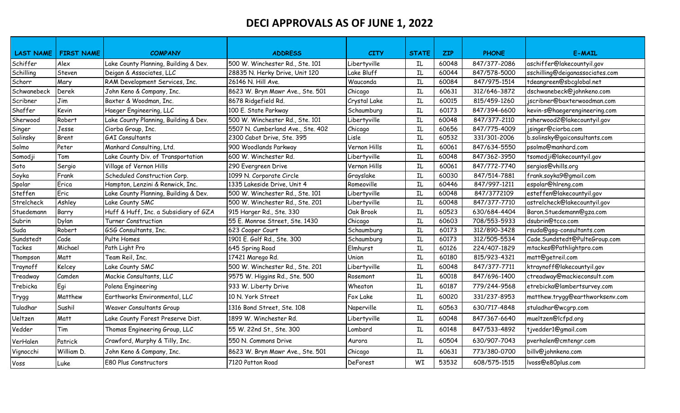| <b>LAST NAME</b> | <b>FIRST NAME</b> | <b>COMPANY</b>                        | <b>ADDRESS</b>                    | <b>CITY</b>  | <b>STATE</b>            | <b>ZIP</b> | <b>PHONE</b> | <b>E-MAIL</b>                   |
|------------------|-------------------|---------------------------------------|-----------------------------------|--------------|-------------------------|------------|--------------|---------------------------------|
| Schiffer         | Alex              | Lake County Planning, Building & Dev. | 500 W. Winchester Rd., Ste. 101   | Libertyville | IL                      | 60048      | 847/377-2086 | aschiffer@lakecountyil.gov      |
| Schilling        | Steven            | Deigan & Associates, LLC              | 28835 N. Herky Drive, Unit 120    | Lake Bluff   | IL.                     | 60044      | 847/578-5000 | sschilling@deiganassociates.com |
| Schorr           | Mary              | RAM Development Services, Inc.        | 26146 N. Hill Ave.                | Wauconda     | IL                      | 60084      | 847/975-1514 | tdeangreen@sbcglobal.net        |
| Schwanebeck      | Derek             | John Keno & Company, Inc.             | 8623 W. Bryn Mawr Ave., Ste. 501  | Chicago      | IL.                     | 60631      | 312/646-3872 | dschwanebeck@johnkeno.com       |
| Scribner         | Jim               | Baxter & Woodman, Inc.                | 8678 Ridgefield Rd.               | Crystal Lake | IL                      | 60015      | 815/459-1260 | jscribner@baxterwoodman.com     |
| Shaffer          | Kevin             | Haeger Engineering, LLC               | 100 E. State Parkway              | Schaumburg   | IL                      | 60173      | 847/394-6600 | kevin-s@haegerengineering.com   |
| Sherwood         | Robert            | Lake County Planning, Building & Dev. | 500 W. Winchester Rd., Ste. 101   | Libertyville | IL.                     | 60048      | 847/377-2110 | rsherwood2@lakecountyil.gov     |
| Singer           | Jesse             | Ciorba Group, Inc.                    | 5507 N. Cumberland Ave., Ste. 402 | Chicago      | IL.                     | 60656      | 847/775-4009 | jsinger@ciorba.com              |
| Solinsky         | Brent             | <b>GAI Consultants</b>                | 2300 Cabot Drive, Ste. 395        | Lisle        | $\overline{\mathbb{L}}$ | 60532      | 331/301-2006 | b.solinsky@gaiconsultants.com   |
| Solmo            | Peter             | Manhard Consulting, Ltd.              | 900 Woodlands Parkway             | Vernon Hills | IL.                     | 60061      | 847/634-5550 | psolmo@manhard.com              |
| Somodji          | Tom               | Lake County Div. of Transportation    | 600 W. Winchester Rd.             | Libertyville | IL.                     | 60048      | 847/362-3950 | tsomodji@lakecountyil.gov       |
| Soto             | Sergio            | Village of Vernon Hills               | 290 Evergreen Drive               | Vernon Hills | IL.                     | 60061      | 847/772-7740 | sergios@vhills.org              |
| Soyka            | Frank             | Scheduled Construction Corp.          | 1099 N. Corporate Circle          | Grayslake    | IL.                     | 60030      | 847/514-7881 | frank.soyka9@gmail.com          |
| Spolar           | Erica             | Hampton, Lenzini & Renwick, Inc.      | 1335 Lakeside Drive, Unit 4       | Romeoville   | IL                      | 60446      | 847/997-1211 | espolar@hlreng.com              |
| Steffen          | Eric              | Lake County Planning, Building & Dev. | 500 W. Winchester Rd., Ste. 101   | Libertyville | IL                      | 60048      | 847/3772109  | esteffen@lakecountyil.gov       |
| Strelcheck       | Ashley            | Lake County SMC                       | 500 W. Winchester Rd., Ste. 201   | Libertyville | IL                      | 60048      | 847/377-7710 | astrelcheck@lakecountyil.gov    |
| Stuedemann       | Barry             | Huff & Huff, Inc. a Subsidiary of GZA | 915 Harger Rd., Ste. 330          | Oak Brook    | IL                      | 60523      | 630/684-4404 | Baron.Stuedemann@gza.com        |
| Subrin           | Dylan             | Turner Construction                   | 55 E. Monroe Street, Ste. 1430    | Chicago      | IL.                     | 60603      | 708/553-5933 | dsubrin@tcco.com                |
| Suda             | Robert            | <b>GSG Consultants, Inc.</b>          | 623 Cooper Court                  | Schaumburg   | IL.                     | 60173      | 312/890-3428 | rsuda@gsg-consultants.com       |
| Sundstedt        | Cade              | Pulte Homes                           | 1901 E. Golf Rd., Ste. 300        | Schaumburg   | IL                      | 60173      | 312/505-5534 | Cade.Sundstedt@PulteGroup.com   |
| Tackes           | Michael           | Path Light Pro                        | 645 Spring Road                   | Elmhurst     | IL.                     | 60126      | 224/407-1829 | mtackes@Pathlightpro.com        |
| Thompson         | Matt              | Team Reil, Inc.                       | 17421 Marego Rd.                  | Union        | IL.                     | 60180      | 815/923-4321 | matt@getreil.com                |
| Traynoff         | Kelcey            | Lake County SMC                       | 500 W. Winchester Rd., Ste. 201   | Libertyville | IL.                     | 60048      | 847/377-7711 | ktraynoff@lakecountyil.gov      |
| Treadway         | Camden            | Mackie Consultants, LLC               | 9575 W. Higgins Rd., Ste. 500     | Rosemont     | IL                      | 60018      | 847/696-1400 | ctreadway@mackieconsult.com     |
| Trebicka         | Egi               | Polena Engineering                    | 933 W. Liberty Drive              | Wheaton      | IL.                     | 60187      | 779/244-9568 | etrebicka@lambertsurvey.com     |
| Trygg            | Matthew           | Earthworks Environmental, LLC         | 10 N. York Street                 | Fox Lake     | IL                      | 60020      | 331/237-8953 | matthew.trygg@earthworksenv.com |
| Tuladhar         | Sushil            | Weaver Consultants Group              | 1316 Bond Street, Ste. 108        | Naperville   | IL.                     | 60563      | 630/717-4848 | stuladhar@wcgrp.com             |
| <b>Ueltzen</b>   | Matt              | Lake County Forest Preserve Dist.     | 1899 W. Winchester Rd.            | Libertyville | IL.                     | 60048      | 847/367-6640 | mueltzen@lcfpd.org              |
| Vedder           | Tim               | Thomas Engineering Group, LLC         | 55 W. 22nd St., Ste. 300          | Lombard      | IL.                     | 60148      | 847/533-4892 | tjvedder1@gmail.com             |
| VerHalen         | Patrick           | Crawford, Murphy & Tilly, Inc.        | 550 N. Commons Drive              | Aurora       | IL.                     | 60504      | 630/907-7043 | pverhalen@cmtengr.com           |
| Vignocchi        | William D.        | John Keno & Company, Inc.             | 8623 W. Bryn Mawr Ave., Ste. 501  | Chicago      | IL.                     | 60631      | 773/380-0700 | billv@johnkeno.com              |
| Voss             | Luke              | E80 Plus Constructors                 | 7120 Patton Road                  | DeForest     | WI                      | 53532      | 608/575-1515 | lvoss@e80plus.com               |